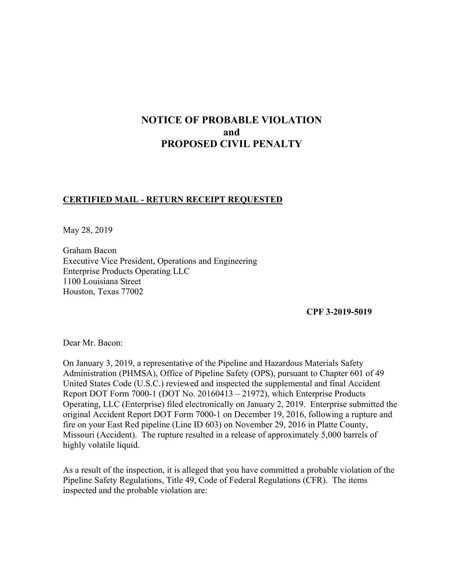# **NOTICE OF PROBABLE VIOLATION and PROPOSED CIVIL PENALTY**

### **CERTIFIED MAIL - RETURN RECEIPT REQUESTED**

May 28, 2019

Graham Bacon Executive Vice President, Operations and Engineering Enterprise Products Operating LLC 1100 Louisiana Street Houston, Texas 77002

**CPF 3-2019-5019** 

Dear Mr. Bacon:

On January 3, 2019, a representative of the Pipeline and Hazardous Materials Safety Administration (PHMSA), Office of Pipeline Safety (OPS), pursuant to Chapter 601 of 49 United States Code (U.S.C.) reviewed and inspected the supplemental and final Accident Report DOT Form 7000-1 (DOT No. 20160413 – 21972), which Enterprise Products Operating, LLC (Enterprise) filed electronically on January 2, 2019. Enterprise submitted the original Accident Report DOT Form 7000-1 on December 19, 2016, following a rupture and fire on your East Red pipeline (Line ID 603) on November 29, 2016 in Platte County, Missouri (Accident). The rupture resulted in a release of approximately 5,000 barrels of highly volatile liquid.

As a result of the inspection, it is alleged that you have committed a probable violation of the Pipeline Safety Regulations, Title 49, Code of Federal Regulations (CFR). The items inspected and the probable violation are: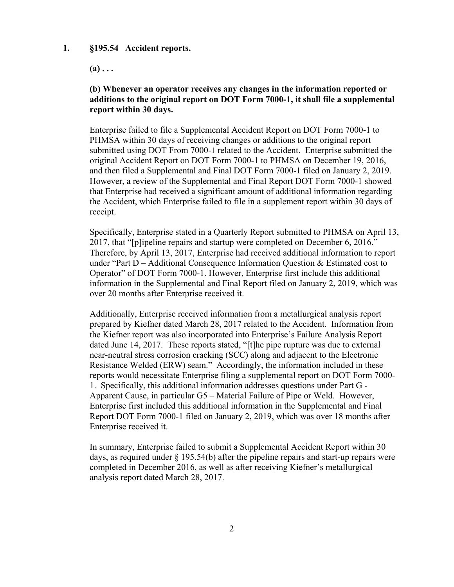#### **1. §195.54 Accident reports.**

 $(a) \ldots$ 

## **(b) Whenever an operator receives any changes in the information reported or additions to the original report on DOT Form 7000-1, it shall file a supplemental report within 30 days.**

Enterprise failed to file a Supplemental Accident Report on DOT Form 7000-1 to PHMSA within 30 days of receiving changes or additions to the original report submitted using DOT From 7000-1 related to the Accident. Enterprise submitted the original Accident Report on DOT Form 7000-1 to PHMSA on December 19, 2016, and then filed a Supplemental and Final DOT Form 7000-1 filed on January 2, 2019. However, a review of the Supplemental and Final Report DOT Form 7000-1 showed that Enterprise had received a significant amount of additional information regarding the Accident, which Enterprise failed to file in a supplement report within 30 days of receipt.

Specifically, Enterprise stated in a Quarterly Report submitted to PHMSA on April 13, 2017, that "[p]ipeline repairs and startup were completed on December 6, 2016." Therefore, by April 13, 2017, Enterprise had received additional information to report under "Part  $D -$  Additional Consequence Information Question  $\&$  Estimated cost to Operator" of DOT Form 7000-1. However, Enterprise first include this additional information in the Supplemental and Final Report filed on January 2, 2019, which was over 20 months after Enterprise received it.

Additionally, Enterprise received information from a metallurgical analysis report prepared by Kiefner dated March 28, 2017 related to the Accident. Information from the Kiefner report was also incorporated into Enterprise's Failure Analysis Report dated June 14, 2017. These reports stated, "[t]he pipe rupture was due to external near-neutral stress corrosion cracking (SCC) along and adjacent to the Electronic Resistance Welded (ERW) seam." Accordingly, the information included in these reports would necessitate Enterprise filing a supplemental report on DOT Form 7000- 1. Specifically, this additional information addresses questions under Part G - Apparent Cause, in particular G5 – Material Failure of Pipe or Weld. However, Enterprise first included this additional information in the Supplemental and Final Report DOT Form 7000-1 filed on January 2, 2019, which was over 18 months after Enterprise received it.

In summary, Enterprise failed to submit a Supplemental Accident Report within 30 days, as required under  $\S$  195.54(b) after the pipeline repairs and start-up repairs were completed in December 2016, as well as after receiving Kiefner's metallurgical analysis report dated March 28, 2017.